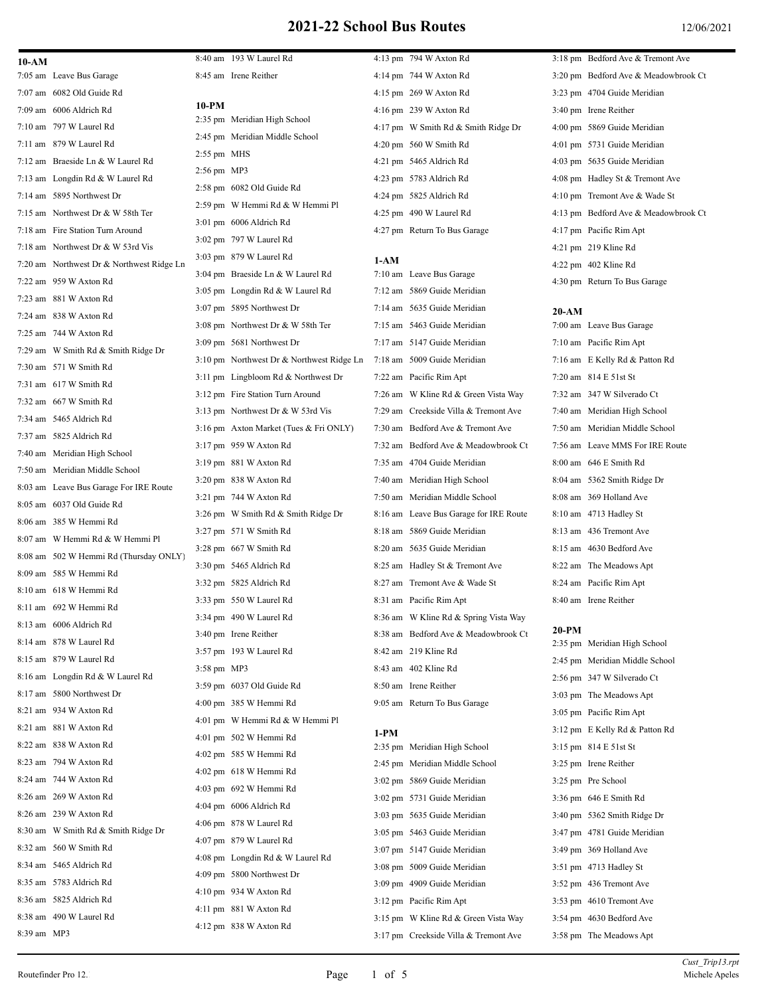# **2021-22 School Bus Routes** 12/06/2021

| 10-AM       |                                           |               | 8:40 am 193 W Laurel Rd                   |        | 4:13 pm 794 W Axton Rd                 |         | 3:18 pm Bedford Ave & Tremont Ave    |
|-------------|-------------------------------------------|---------------|-------------------------------------------|--------|----------------------------------------|---------|--------------------------------------|
|             | 7:05 am Leave Bus Garage                  |               | 8:45 am Irene Reither                     |        | 4:14 pm 744 W Axton Rd                 |         | 3:20 pm Bedford Ave & Meadowbrook Ct |
|             | 7:07 am 6082 Old Guide Rd                 | 10-PM         |                                           |        | 4:15 pm 269 W Axton Rd                 |         | 3:23 pm 4704 Guide Meridian          |
|             | 7:09 am 6006 Aldrich Rd                   |               | 2:35 pm Meridian High School              |        | 4:16 pm 239 W Axton Rd                 |         | 3:40 pm Irene Reither                |
|             | 7:10 am 797 W Laurel Rd                   |               | 2:45 pm Meridian Middle School            |        | 4:17 pm W Smith Rd & Smith Ridge Dr    |         | 4:00 pm 5869 Guide Meridian          |
|             | 7:11 am 879 W Laurel Rd                   | $2:55$ pm MHS |                                           |        | 4:20 pm 560 W Smith Rd                 |         | 4:01 pm 5731 Guide Meridian          |
|             | 7:12 am Braeside Ln & W Laurel Rd         | 2:56 pm MP3   |                                           |        | 4:21 pm 5465 Aldrich Rd                |         | 4:03 pm 5635 Guide Meridian          |
|             | 7:13 am Longdin Rd & W Laurel Rd          |               |                                           |        | 4:23 pm 5783 Aldrich Rd                |         | 4:08 pm Hadley St & Tremont Ave      |
|             | 7:14 am 5895 Northwest Dr                 |               | 2:58 pm 6082 Old Guide Rd                 |        | 4:24 pm 5825 Aldrich Rd                |         | 4:10 pm Tremont Ave & Wade St        |
|             | 7:15 am Northwest Dr & W 58th Ter         |               | 2:59 pm W Hemmi Rd & W Hemmi Pl           |        | 4:25 pm 490 W Laurel Rd                |         | 4:13 pm Bedford Ave & Meadowbrook Ct |
|             | 7:18 am Fire Station Turn Around          |               | 3:01 pm 6006 Aldrich Rd                   |        | 4:27 pm Return To Bus Garage           |         | 4:17 pm Pacific Rim Apt              |
|             | 7:18 am Northwest Dr & W 53rd Vis         |               | 3:02 pm 797 W Laurel Rd                   |        |                                        |         | 4:21 pm 219 Kline Rd                 |
|             | 7:20 am Northwest Dr & Northwest Ridge Ln |               | 3:03 pm 879 W Laurel Rd                   | $1-AM$ |                                        |         | $4:22 \text{ pm}$ 402 Kline Rd       |
|             | 7:22 am 959 W Axton Rd                    |               | 3:04 pm Braeside Ln & W Laurel Rd         |        | 7:10 am Leave Bus Garage               |         | 4:30 pm Return To Bus Garage         |
|             | 7:23 am 881 W Axton Rd                    |               | 3:05 pm Longdin Rd & W Laurel Rd          |        | 7:12 am 5869 Guide Meridian            |         |                                      |
|             | 7:24 am 838 W Axton Rd                    |               | 3:07 pm 5895 Northwest Dr                 |        | 7:14 am 5635 Guide Meridian            | $20-AM$ |                                      |
|             | 7:25 am 744 W Axton Rd                    |               | 3:08 pm Northwest Dr & W 58th Ter         |        | 7:15 am 5463 Guide Meridian            |         | 7:00 am Leave Bus Garage             |
|             | 7:29 am W Smith Rd & Smith Ridge Dr       |               | 3:09 pm 5681 Northwest Dr                 |        | 7:17 am 5147 Guide Meridian            |         | 7:10 am Pacific Rim Apt              |
|             | 7:30 am 571 W Smith Rd                    |               | 3:10 pm Northwest Dr & Northwest Ridge Ln |        | 7:18 am 5009 Guide Meridian            |         | 7:16 am E Kelly Rd & Patton Rd       |
|             |                                           |               | 3:11 pm Lingbloom Rd & Northwest Dr       |        | 7:22 am Pacific Rim Apt                |         | 7:20 am 814 E 51st St                |
|             | 7:31 am 617 W Smith Rd                    |               | 3:12 pm Fire Station Turn Around          |        | 7:26 am W Kline Rd & Green Vista Way   |         | 7:32 am 347 W Silverado Ct           |
|             | 7:32 am 667 W Smith Rd                    |               | 3:13 pm Northwest Dr & W 53rd Vis         |        | 7:29 am Creekside Villa & Tremont Ave  |         | 7:40 am Meridian High School         |
|             | 7:34 am 5465 Aldrich Rd                   |               | 3:16 pm Axton Market (Tues & Fri ONLY)    |        | 7:30 am Bedford Ave & Tremont Ave      |         | 7:50 am Meridian Middle School       |
|             | 7:37 am 5825 Aldrich Rd                   |               | 3:17 pm 959 W Axton Rd                    |        | 7:32 am Bedford Ave & Meadowbrook Ct   |         | 7:56 am Leave MMS For IRE Route      |
|             | 7:40 am Meridian High School              |               | 3:19 pm 881 W Axton Rd                    |        | 7:35 am 4704 Guide Meridian            |         | 8:00 am 646 E Smith Rd               |
|             | 7:50 am Meridian Middle School            |               | 3:20 pm 838 W Axton Rd                    |        | 7:40 am Meridian High School           |         | 8:04 am 5362 Smith Ridge Dr          |
|             | 8:03 am Leave Bus Garage For IRE Route    |               | 3:21 pm 744 W Axton Rd                    |        | 7:50 am Meridian Middle School         |         | 8:08 am 369 Holland Ave              |
|             | 8:05 am 6037 Old Guide Rd                 |               | 3:26 pm W Smith Rd & Smith Ridge Dr       |        | 8:16 am Leave Bus Garage for IRE Route |         | 8:10 am 4713 Hadley St               |
|             | 8:06 am 385 W Hemmi Rd                    |               | 3:27 pm 571 W Smith Rd                    |        | 8:18 am 5869 Guide Meridian            |         | 8:13 am 436 Tremont Ave              |
|             | 8:07 am W Hemmi Rd & W Hemmi Pl           |               |                                           |        |                                        |         |                                      |
|             | 8:08 am 502 W Hemmi Rd (Thursday ONLY)    |               | 3:28 pm 667 W Smith Rd                    |        | 8:20 am 5635 Guide Meridian            |         | 8:15 am 4630 Bedford Ave             |
|             | 8:09 am 585 W Hemmi Rd                    |               | 3:30 pm 5465 Aldrich Rd                   |        | 8:25 am Hadley St & Tremont Ave        |         | 8:22 am The Meadows Apt              |
|             | 8:10 am 618 W Hemmi Rd                    |               | 3:32 pm 5825 Aldrich Rd                   |        | 8:27 am Tremont Ave & Wade St          |         | 8:24 am Pacific Rim Apt              |
|             | 8:11 am 692 W Hemmi Rd                    |               | 3:33 pm 550 W Laurel Rd                   |        | 8:31 am Pacific Rim Apt                |         | 8:40 am Irene Reither                |
|             | 8:13 am 6006 Aldrich Rd                   |               | 3:34 pm 490 W Laurel Rd                   |        | 8:36 am W Kline Rd & Spring Vista Way  | 20-PM   |                                      |
|             | 8:14 am 878 W Laurel Rd                   |               | 3:40 pm Irene Reither                     |        | 8:38 am Bedford Ave & Meadowbrook Ct   |         | 2:35 pm Meridian High School         |
|             | 8:15 am 879 W Laurel Rd                   |               | 3:57 pm 193 W Laurel Rd                   |        | 8:42 am 219 Kline Rd                   |         | 2:45 pm Meridian Middle School       |
|             | 8:16 am Longdin Rd & W Laurel Rd          | 3:58 pm MP3   |                                           |        | 8:43 am 402 Kline Rd                   |         | 2:56 pm 347 W Silverado Ct           |
|             | 8:17 am 5800 Northwest Dr                 |               | 3:59 pm 6037 Old Guide Rd                 |        | 8:50 am Irene Reither                  |         | 3:03 pm The Meadows Apt              |
|             | 8:21 am 934 W Axton Rd                    |               | 4:00 pm 385 W Hemmi Rd                    |        | 9:05 am Return To Bus Garage           |         | 3:05 pm Pacific Rim Apt              |
|             | 8:21 am 881 W Axton Rd                    |               | 4:01 pm W Hemmi Rd & W Hemmi Pl           |        |                                        |         | 3:12 pm E Kelly Rd & Patton Rd       |
|             | 8:22 am 838 W Axton Rd                    |               | 4:01 pm 502 W Hemmi Rd                    | $1-PM$ |                                        |         |                                      |
|             |                                           |               | 4:02 pm 585 W Hemmi Rd                    |        | 2:35 pm Meridian High School           |         | 3:15 pm 814 E 51st St                |
|             | 8:23 am 794 W Axton Rd                    |               | 4:02 pm 618 W Hemmi Rd                    |        | 2:45 pm Meridian Middle School         |         | 3:25 pm Irene Reither                |
|             | 8:24 am 744 W Axton Rd                    |               | 4:03 pm 692 W Hemmi Rd                    |        | 3:02 pm 5869 Guide Meridian            |         | 3:25 pm Pre School                   |
|             | 8:26 am 269 W Axton Rd                    |               | 4:04 pm 6006 Aldrich Rd                   |        | 3:02 pm 5731 Guide Meridian            |         | 3:36 pm 646 E Smith Rd               |
|             | 8:26 am 239 W Axton Rd                    |               | 4:06 pm 878 W Laurel Rd                   |        | 3:03 pm 5635 Guide Meridian            |         | 3:40 pm 5362 Smith Ridge Dr          |
|             | 8:30 am W Smith Rd & Smith Ridge Dr       |               | 4:07 pm 879 W Laurel Rd                   |        | 3:05 pm 5463 Guide Meridian            |         | 3:47 pm 4781 Guide Meridian          |
|             | 8:32 am 560 W Smith Rd                    |               | 4:08 pm Longdin Rd & W Laurel Rd          |        | 3:07 pm 5147 Guide Meridian            |         | 3:49 pm 369 Holland Ave              |
|             | 8:34 am 5465 Aldrich Rd                   |               | 4:09 pm 5800 Northwest Dr                 |        | 3:08 pm 5009 Guide Meridian            |         | 3:51 pm 4713 Hadley St               |
|             | 8:35 am 5783 Aldrich Rd                   |               | 4:10 pm 934 W Axton Rd                    |        | 3:09 pm 4909 Guide Meridian            |         | 3:52 pm 436 Tremont Ave              |
|             | 8:36 am 5825 Aldrich Rd                   |               | 4:11 pm 881 W Axton Rd                    |        | 3:12 pm Pacific Rim Apt                |         | 3:53 pm 4610 Tremont Ave             |
|             | 8:38 am 490 W Laurel Rd                   |               | 4:12 pm 838 W Axton Rd                    |        | 3:15 pm W Kline Rd & Green Vista Way   |         | 3:54 pm 4630 Bedford Ave             |
| 8:39 am MP3 |                                           |               |                                           |        | 3:17 pm Creekside Villa & Tremont Ave  |         | 3:58 pm The Meadows Apt              |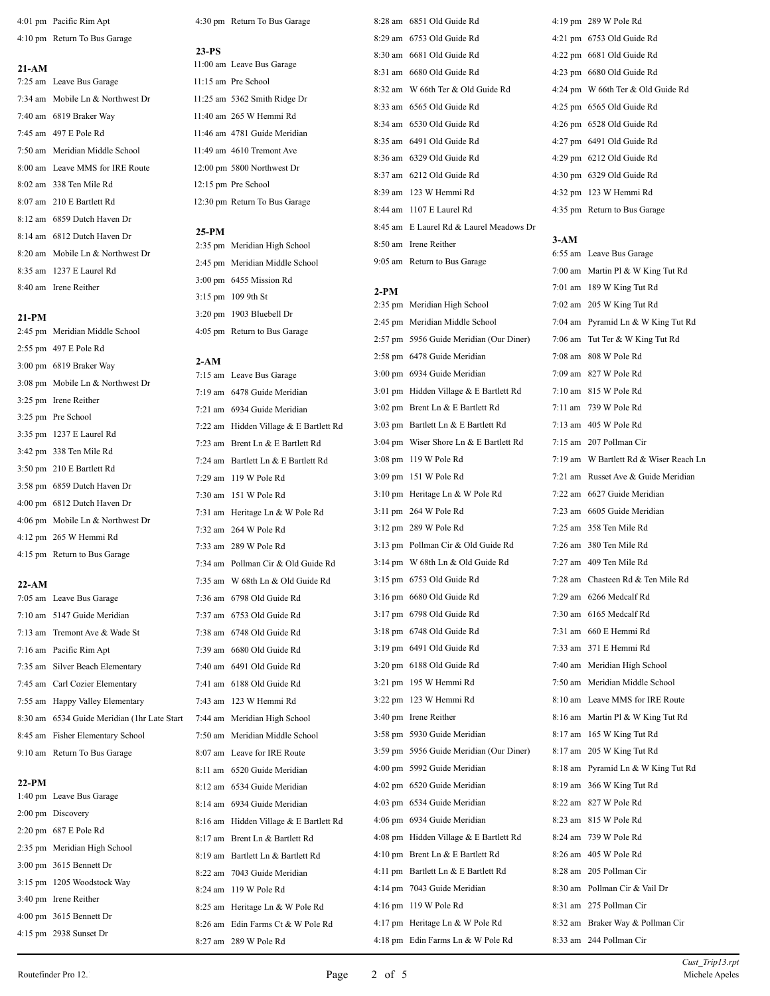4:01 pm Pacific Rim Apt 4:10 pm Return To Bus Garage

# **21-AM** 7:25 am Leave Bus Garage 7:34 am Mobile Ln & Northwest Dr 7:40 am 6819 Braker Way 7:45 am 497 E Pole Rd 7:50 am Meridian Middle School 8:00 am Leave MMS for IRE Route 8:02 am 338 Ten Mile Rd 8:07 am 210 E Bartlett Rd 8:12 am 6859 Dutch Haven Dr 8:14 am 6812 Dutch Haven Dr 8:20 am Mobile Ln & Northwest Dr 8:35 am 1237 E Laurel Rd 8:40 am Irene Reither

## **21-PM**

 2:45 pm Meridian Middle School 2:55 pm 497 E Pole Rd 3:00 pm 6819 Braker Way 3:08 pm Mobile Ln & Northwest Dr 3:25 pm Irene Reither 3:25 pm Pre School 3:35 pm 1237 E Laurel Rd 3:42 pm 338 Ten Mile Rd 3:50 pm 210 E Bartlett Rd 3:58 pm 6859 Dutch Haven Dr 4:00 pm 6812 Dutch Haven Dr 4:06 pm Mobile Ln & Northwest Dr 4:12 pm 265 W Hemmi Rd 4:15 pm Return to Bus Garage

## **22-AM**

| 7:05 am Leave Bus Garage                     | 7:36: |
|----------------------------------------------|-------|
| 7:10 am 5147 Guide Meridian                  | 7:37: |
| 7:13 am Tremont Ave & Wade St                | 7:38: |
| 7:16 am Pacific Rim Apt                      | 7:39: |
| 7:35 am Silver Beach Elementary              | 7:40: |
| 7:45 am Carl Cozier Elementary               | 7:41: |
| 7:55 am Happy Valley Elementary              | 7:43: |
| 8:30 am 6534 Guide Meridian (1hr Late Start) | 7:44: |
| 8:45 am Fisher Elementary School             | 7:50: |
| 9:10 am Return To Bus Garage                 | 8:07: |

## **22-PM**

| 1:40 pm Leave Bus Garage          |
|-----------------------------------|
| 2:00 pm Discovery                 |
| 2:20 pm 687 E Pole Rd             |
| 2:35 pm Meridian High School      |
| 3:00 pm 3615 Bennett Dr           |
| 3:15 pm 1205 Woodstock Way        |
| 3:40 pm Irene Reither             |
| $4:00 \text{ pm}$ 3615 Bennett Dr |
| $4:15$ pm 2938 Sunset Dr          |

4:30 pm Return To Bus Garage

## **23-PS**

11:00 am Leave Bus Garage 11:15 am Pre School 11:25 am 5362 Smith Ridge Dr 11:40 am 265 W Hemmi Rd 11:46 am 4781 Guide Meridian 11:49 am 4610 Tremont Ave 12:00 pm 5800 Northwest Dr 12:15 pm Pre School 12:30 pm Return To Bus Garage

## **25-PM**

 2:35 pm Meridian High School 2:45 pm Meridian Middle School 3:00 pm 6455 Mission Rd 3:15 pm 109 9th St 3:20 pm 1903 Bluebell Dr 4:05 pm Return to Bus Garage

## **2-AM**

| 7:15 am Leave Bus Garage               |
|----------------------------------------|
| 7:19 am 6478 Guide Meridian            |
| 7:21 am 6934 Guide Meridian            |
| 7:22 am Hidden Village & E Bartlett Rd |
| 7:23 am Brent Ln & E Bartlett Rd       |
| 7:24 am Bartlett Ln & E Bartlett Rd    |
| 7:29 am 119 W Pole Rd                  |
| 7:30 am 151 W Pole Rd                  |
| 7:31 am Heritage Ln & W Pole Rd        |
| 7:32 am 264 W Pole Rd                  |
| 7:33 am 289 W Pole Rd                  |
| 7:34 am Pollman Cir & Old Guide Rd     |
| 7:35 am W 68th Ln & Old Guide Rd       |
| 7:36 am 6798 Old Guide Rd              |
| 7:37 am 6753 Old Guide Rd              |
| 7:38 am 6748 Old Guide Rd              |
| 7:39 am 6680 Old Guide Rd              |
| 7:40 am 6491 Old Guide Rd              |
| 7:41 am 6188 Old Guide Rd              |
| 7:43 am 123 W Hemmi Rd                 |
| 7:44 am Meridian High School           |
| 7:50 am Meridian Middle School         |
| 8:07 am Leave for IRE Route            |
| 8:11 am 6520 Guide Meridian            |
| 8:12 am 6534 Guide Meridian            |
| 8:14 am 6934 Guide Meridian            |
| 8:16 am Hidden Village & E Bartlett Rd |
| 8:17 am Brent Ln & Bartlett Rd         |
| 8:19 am Bartlett Ln & Bartlett Rd      |
| 8:22 am 7043 Guide Meridian            |
| 8:24 am 119 W Pole Rd                  |
| 8:25 am Heritage Ln & W Pole Rd        |
| 8:26 am Edin Farms Ct & W Pole Rd      |
| 8:27 am 289 W Pole Rd                  |

 8:28 am 6851 Old Guide Rd 8:29 am 6753 Old Guide Rd 8:30 am 6681 Old Guide Rd 8:31 am 6680 Old Guide Rd 8:32 am W 66th Ter & Old Guide Rd 8:33 am 6565 Old Guide Rd 8:34 am 6530 Old Guide Rd 8:35 am 6491 Old Guide Rd 8:36 am 6329 Old Guide Rd 8:37 am 6212 Old Guide Rd 8:39 am 123 W Hemmi Rd 8:44 am 1107 E Laurel Rd 8:45 am E Laurel Rd & Laurel Meadows Dr 8:50 am Irene Reither 9:05 am Return to Bus Garage

## **2-PM**

 2:35 pm Meridian High School 2:45 pm Meridian Middle School 2:57 pm 5956 Guide Meridian (Our Diner) 2:58 pm 6478 Guide Meridian 3:00 pm 6934 Guide Meridian 3:01 pm Hidden Village & E Bartlett Rd 3:02 pm Brent Ln & E Bartlett Rd 3:03 pm Bartlett Ln & E Bartlett Rd 3:04 pm Wiser Shore Ln & E Bartlett Rd 3:08 pm 119 W Pole Rd 3:09 pm 151 W Pole Rd 3:10 pm Heritage Ln & W Pole Rd 3:11 pm 264 W Pole Rd 3:12 pm 289 W Pole Rd 3:13 pm Pollman Cir & Old Guide Rd 3:14 pm W 68th Ln & Old Guide Rd 3:15 pm 6753 Old Guide Rd 3:16 pm 6680 Old Guide Rd 3:17 pm 6798 Old Guide Rd 3:18 pm 6748 Old Guide Rd 3:19 pm 6491 Old Guide Rd 3:20 pm 6188 Old Guide Rd 3:21 pm 195 W Hemmi Rd 3:22 pm 123 W Hemmi Rd 3:40 pm Irene Reither 3:58 pm 5930 Guide Meridian 3:59 pm 5956 Guide Meridian (Our Diner) 4:00 pm 5992 Guide Meridian 4:02 pm 6520 Guide Meridian 4:03 pm 6534 Guide Meridian 4:06 pm 6934 Guide Meridian 4:08 pm Hidden Village & E Bartlett Rd 4:10 pm Brent Ln & E Bartlett Rd 4:11 pm Bartlett Ln & E Bartlett Rd 4:14 pm 7043 Guide Meridian 4:16 pm 119 W Pole Rd 4:17 pm Heritage Ln & W Pole Rd 4:18 pm Edin Farms Ln & W Pole Rd 8:33 am 244 Pollman Cir

 4:19 pm 289 W Pole Rd 4:21 pm 6753 Old Guide Rd 4:22 pm 6681 Old Guide Rd 4:23 pm 6680 Old Guide Rd 4:24 pm W 66th Ter & Old Guide Rd 4:25 pm 6565 Old Guide Rd 4:26 pm 6528 Old Guide Rd 4:27 pm 6491 Old Guide Rd 4:29 pm 6212 Old Guide Rd 4:30 pm 6329 Old Guide Rd 4:32 pm 123 W Hemmi Rd 4:35 pm Return to Bus Garage

**3-AM** 6:55 am Leave Bus Garage 7:00 am Martin Pl & W King Tut Rd 7:01 am 189 W King Tut Rd 7:02 am 205 W King Tut Rd 7:04 am Pyramid Ln & W King Tut Rd 7:06 am Tut Ter & W King Tut Rd 7:08 am 808 W Pole Rd 7:09 am 827 W Pole Rd 7:10 am 815 W Pole Rd 7:11 am 739 W Pole Rd 7:13 am 405 W Pole Rd 7:15 am 207 Pollman Cir 7:19 am W Bartlett Rd & Wiser Reach Ln 7:21 am Russet Ave & Guide Meridian 7:22 am 6627 Guide Meridian 7:23 am 6605 Guide Meridian 7:25 am 358 Ten Mile Rd 7:26 am 380 Ten Mile Rd 7:27 am 409 Ten Mile Rd 7:28 am Chasteen Rd & Ten Mile Rd 7:29 am 6266 Medcalf Rd 7:30 am 6165 Medcalf Rd 7:31 am 660 E Hemmi Rd 7:33 am 371 E Hemmi Rd 7:40 am Meridian High School 7:50 am Meridian Middle School 8:10 am Leave MMS for IRE Route 8:16 am Martin Pl & W King Tut Rd 8:17 am 165 W King Tut Rd 8:17 am 205 W King Tut Rd 8:18 am Pyramid Ln & W King Tut Rd 8:19 am 366 W King Tut Rd 8:22 am 827 W Pole Rd 8:23 am 815 W Pole Rd 8:24 am 739 W Pole Rd 8:26 am 405 W Pole Rd 8:28 am 205 Pollman Cir 8:30 am Pollman Cir & Vail Dr 8:31 am 275 Pollman Cir 8:32 am Braker Way & Pollman Cir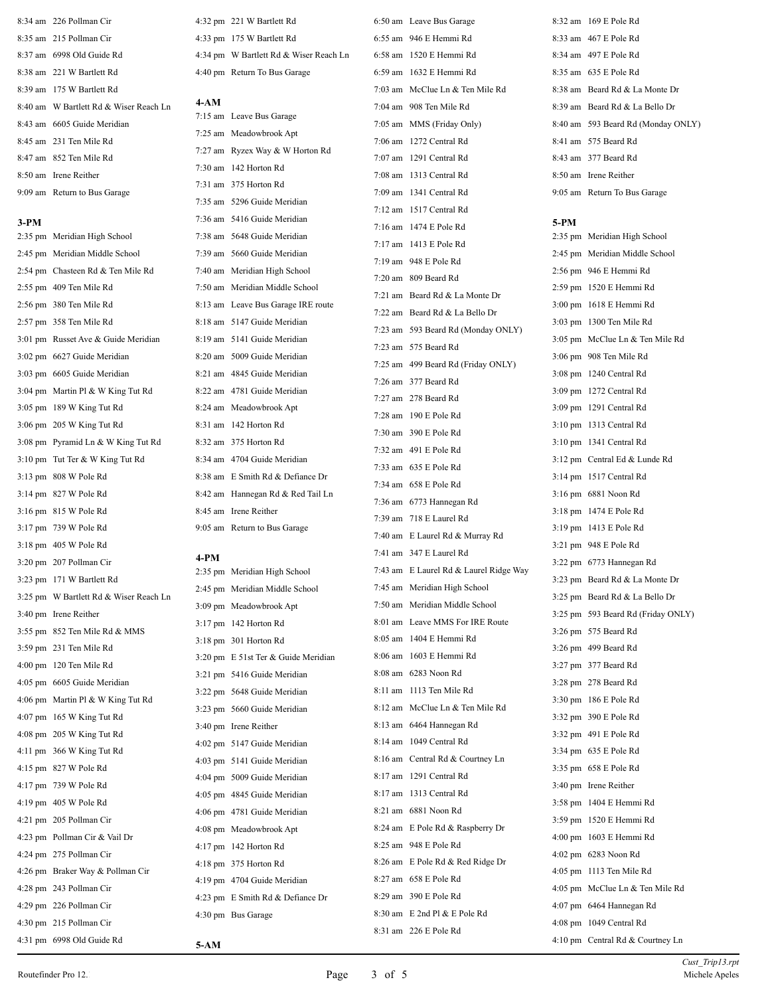| 8:34 am 226 Pollman Cir                |
|----------------------------------------|
| 8:35 am 215 Pollman Cir                |
| 8:37 am 6998 Old Guide Rd              |
| 8:38 am 221 W Bartlett Rd              |
| 8:39 am 175 W Bartlett Rd              |
| 8:40 am W Bartlett Rd & Wiser Reach Ln |
| 8:43 am 6605 Guide Meridian            |
| $8:45$ am $231$ Ten Mile Rd            |
| 8:47 am 852 Ten Mile Rd                |
| 8:50 am Irene Reither                  |
| 9:09 am Return to Bus Garage           |

## **3-PM**

| $2:35$ pm         | Meridian High School              |
|-------------------|-----------------------------------|
| $2:45$ pm         | Meridian Middle School            |
|                   | 2:54 pm Chasteen Rd & Ten Mile Rd |
|                   | 2:55 pm 409 Ten Mile Rd           |
| $2:56 \text{ pm}$ | 380 Ten Mile Rd                   |
| $2:57$ pm         | 358 Ten Mile Rd                   |
| $3:01 \text{ pm}$ | Russet Ave & Guide Meridian       |
| $3:02 \text{ pm}$ | 6627 Guide Meridian               |
|                   | 3:03 pm 6605 Guide Meridian       |
|                   | 3:04 pm Martin Pl & W King Tut Rd |
|                   | 3:05 pm 189 W King Tut Rd         |
| $3:06 \text{ pm}$ | 205 W King Tut Rd                 |
| $3:08 \text{ pm}$ | Pyramid Ln & W King Tut Rd        |
| $3:10 \text{ pm}$ | Tut Ter & W King Tut Rd           |
| $3:13$ pm         | 808 W Pole Rd                     |
|                   | 3:14 pm 827 W Pole Rd             |
| $3:16 \text{ pm}$ | 815 W Pole Rd                     |
| $3:17$ pm         | 739 W Pole Rd                     |
| $3:18 \text{ pm}$ | 405 W Pole Rd                     |
| $3:20 \text{ pm}$ | 207 Pollman Cir                   |
| $3:23$ pm         | 171 W Bartlett Rd                 |
| $3:25 \text{ pm}$ | W Bartlett Rd & Wiser Reach Ln    |
| $3:40 \text{ pm}$ | Irene Reither                     |
| $3:55$ pm         | 852 Ten Mile Rd & MMS             |
| $3:59$ pm         | 231 Ten Mile Rd                   |
| $4:00 \text{ pm}$ | 120 Ten Mile Rd                   |
|                   | 4:05 pm 6605 Guide Meridian       |
|                   | 4:06 pm Martin Pl & W King Tut Rd |
|                   | 4:07 pm 165 W King Tut Rd         |
| 4:08 pm           | 205 W King Tut Rd                 |
| $4:11$ pm         | 366 W King Tut Rd                 |
| $4:15$ pm         | 827 W Pole Rd                     |
| 4:17 pm           | 739 W Pole Rd                     |
|                   | 4:19 pm 405 W Pole Rd             |
| $4:21$ pm         | 205 Pollman Cir                   |

 4:32 pm 221 W Bartlett Rd 4:33 pm 175 W Bartlett Rd 4:34 pm W Bartlett Rd & Wiser Reach Ln 4:40 pm Return To Bus Garage

## **4-AM**

|         | 7:15 am Leave Bus Garage           |
|---------|------------------------------------|
|         | 7:25 am Meadowbrook Apt            |
|         | 7:27 am Ryzex Way & W Horton Rd    |
|         | 7:30 am 142 Horton Rd              |
|         | 7:31 am 375 Horton Rd              |
|         | 7:35 am 5296 Guide Meridian        |
|         | 7:36 am 5416 Guide Meridian        |
|         | 7:38 am 5648 Guide Meridian        |
|         | 7:39 am 5660 Guide Meridian        |
|         | 7:40 am Meridian High School       |
|         | 7:50 am Meridian Middle School     |
|         | 8:13 am Leave Bus Garage IRE route |
|         | 8:18 am 5147 Guide Meridian        |
|         | 8:19 am 5141 Guide Meridian        |
|         | 8:20 am 5009 Guide Meridian        |
|         | 8:21 am 4845 Guide Meridian        |
|         | 8:22 am 4781 Guide Meridian        |
|         | 8:24 am Meadowbrook Apt            |
|         | 8:31 am 142 Horton Rd              |
|         | 8:32 am 375 Horton Rd              |
|         | 8:34 am 4704 Guide Meridian        |
|         | 8:38 am E Smith Rd & Defiance Dr   |
| 8:42 am | Hannegan Rd & Red Tail Ln          |
|         | 8:45 am Irene Reither              |
|         | 9:05 am Return to Bus Garage       |

### **4-PM**

| 2:35 pm Meridian High School        |
|-------------------------------------|
| 2:45 pm Meridian Middle School      |
| 3:09 pm Meadowbrook Apt             |
| 3:17 pm 142 Horton Rd               |
| 3:18 pm 301 Horton Rd               |
| 3:20 pm E 51st Ter & Guide Meridian |
| 3:21 pm 5416 Guide Meridian         |
| 3:22 pm 5648 Guide Meridian         |
| 3:23 pm 5660 Guide Meridian         |
| 3:40 pm Irene Reither               |
| 4:02 pm 5147 Guide Meridian         |
| 4:03 pm 5141 Guide Meridian         |
| 4:04 pm 5009 Guide Meridian         |
| 4:05 pm 4845 Guide Meridian         |
| 4:06 pm 4781 Guide Meridian         |
| 4:08 pm Meadowbrook Apt             |
| 4:17 pm 142 Horton Rd               |
| 4:18 pm 375 Horton Rd               |
| 4:19 pm 4704 Guide Meridian         |
| 4:23 pm E Smith Rd & Defiance Dr    |
| 4:30 pm Bus Garage                  |
|                                     |

 6:50 am Leave Bus Garage 6:55 am 946 E Hemmi Rd 6:58 am 1520 E Hemmi Rd 6:59 am 1632 E Hemmi Rd 7:03 am McClue Ln & Ten Mile Rd 7:04 am 908 Ten Mile Rd 7:05 am MMS (Friday Only) 7:06 am 1272 Central Rd 7:07 am 1291 Central Rd 7:08 am 1313 Central Rd 7:09 am 1341 Central Rd 7:12 am 1517 Central Rd 7:16 am 1474 E Pole Rd 7:17 am 1413 E Pole Rd 7:19 am 948 E Pole Rd 7:20 am 809 Beard Rd 7:21 am Beard Rd & La Monte Dr 7:22 am Beard Rd & La Bello Dr 7:23 am 593 Beard Rd (Monday ONLY) 7:23 am 575 Beard Rd 7:25 am 499 Beard Rd (Friday ONLY) 7:26 am 377 Beard Rd 7:27 am 278 Beard Rd 7:28 am 190 E Pole Rd 7:30 am 390 E Pole Rd 7:32 am 491 E Pole Rd 7:33 am 635 E Pole Rd 7:34 am 658 E Pole Rd 7:36 am 6773 Hannegan Rd 7:39 am 718 E Laurel Rd 7:40 am E Laurel Rd & Murray Rd 7:41 am 347 E Laurel Rd 7:43 am E Laurel Rd & Laurel Ridge Way 7:45 am Meridian High School 7:50 am Meridian Middle School 8:01 am Leave MMS For IRE Route 8:05 am 1404 E Hemmi Rd 8:06 am 1603 E Hemmi Rd 8:08 am 6283 Noon Rd 8:11 am 1113 Ten Mile Rd 8:12 am McClue Ln & Ten Mile Rd 8:13 am 6464 Hannegan Rd 8:14 am 1049 Central Rd 8:16 am Central Rd & Courtney Ln 8:17 am 1291 Central Rd 8:17 am 1313 Central Rd 8:21 am 6881 Noon Rd 8:24 am E Pole Rd & Raspberry Dr 8:25 am 948 E Pole Rd 8:26 am E Pole Rd & Red Ridge Dr 8:27 am 658 E Pole Rd 8:29 am 390 E Pole Rd 8:30 am E 2nd Pl & E Pole Rd

 8:32 am 169 E Pole Rd 8:33 am 467 E Pole Rd 8:34 am 497 E Pole Rd 8:35 am 635 E Pole Rd 8:38 am Beard Rd & La Monte Dr 8:39 am Beard Rd & La Bello Dr 8:40 am 593 Beard Rd (Monday ONLY) 8:41 am 575 Beard Rd 8:43 am 377 Beard Rd 8:50 am Irene Reither 9:05 am Return To Bus Garage

### **5-PM**

 2:35 pm Meridian High School 2:45 pm Meridian Middle School 2:56 pm 946 E Hemmi Rd 2:59 pm 1520 E Hemmi Rd 3:00 pm 1618 E Hemmi Rd 3:03 pm 1300 Ten Mile Rd 3:05 pm McClue Ln & Ten Mile Rd 3:06 pm 908 Ten Mile Rd 3:08 pm 1240 Central Rd 3:09 pm 1272 Central Rd 3:09 pm 1291 Central Rd 3:10 pm 1313 Central Rd 3:10 pm 1341 Central Rd 3:12 pm Central Ed & Lunde Rd 3:14 pm 1517 Central Rd 3:16 pm 6881 Noon Rd 3:18 pm 1474 E Pole Rd 3:19 pm 1413 E Pole Rd 3:21 pm 948 E Pole Rd 3:22 pm 6773 Hannegan Rd 3:23 pm Beard Rd & La Monte Dr 3:25 pm Beard Rd & La Bello Dr 3:25 pm 593 Beard Rd (Friday ONLY) 3:26 pm 575 Beard Rd 3:26 pm 499 Beard Rd 3:27 pm 377 Beard Rd 3:28 pm 278 Beard Rd 3:30 pm 186 E Pole Rd 3:32 pm 390 E Pole Rd 3:32 pm 491 E Pole Rd 3:34 pm 635 E Pole Rd 3:35 pm 658 E Pole Rd 3:40 pm Irene Reither 3:58 pm 1404 E Hemmi Rd 3:59 pm 1520 E Hemmi Rd 4:00 pm 1603 E Hemmi Rd 4:02 pm 6283 Noon Rd 4:05 pm 1113 Ten Mile Rd 4:05 pm McClue Ln & Ten Mile Rd 4:07 pm 6464 Hannegan Rd 4:08 pm 1049 Central Rd 4:10 pm Central Rd & Courtney Ln

**5-AM**

 4:23 pm Pollman Cir & Vail Dr 4:24 pm 275 Pollman Cir

 4:28 pm 243 Pollman Cir 4:29 pm 226 Pollman Cir 4:30 pm 215 Pollman Cir 4:31 pm 6998 Old Guide Rd

4:26 pm Braker Way & Pollman Cir

8:31 am 226 E Pole Rd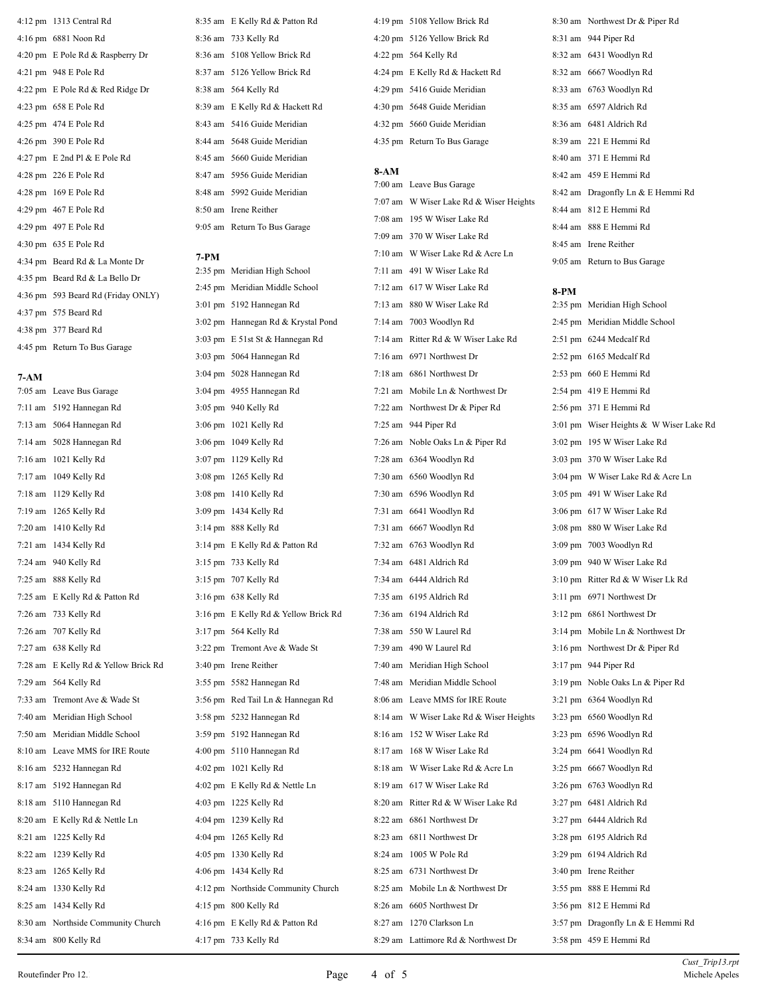4:12 pm 1313 Central Rd 4:16 pm 6881 Noon Rd 4:20 pm E Pole Rd & Raspberry Dr 4:21 pm 948 E Pole Rd 4:22 pm E Pole Rd & Red Ridge Dr 4:23 pm 658 E Pole Rd 4:25 pm 474 E Pole Rd 4:26 pm 390 E Pole Rd 4:27 pm E 2nd Pl & E Pole Rd 4:28 pm 226 E Pole Rd 4:28 pm 169 E Pole Rd 4:29 pm 467 E Pole Rd 4:29 pm 497 E Pole Rd 4:30 pm 635 E Pole Rd 4:34 pm Beard Rd & La Monte Dr 4:35 pm Beard Rd & La Bello Dr 4:36 pm 593 Beard Rd (Friday ONLY) 4:37 pm 575 Beard Rd 4:38 pm 377 Beard Rd 4:45 pm Return To Bus Garage

## **7-AM**

 7:05 am Leave Bus Garage 7:11 am 5192 Hannegan Rd 7:13 am 5064 Hannegan Rd 7:14 am 5028 Hannegan Rd 7:16 am 1021 Kelly Rd 7:17 am 1049 Kelly Rd 7:18 am 1129 Kelly Rd 7:19 am 1265 Kelly Rd 7:20 am 1410 Kelly Rd 7:21 am 1434 Kelly Rd 7:24 am 940 Kelly Rd 7:25 am 888 Kelly Rd 7:25 am E Kelly Rd & Patton Rd 7:26 am 733 Kelly Rd 7:26 am 707 Kelly Rd 7:27 am 638 Kelly Rd 7:28 am E Kelly Rd & Yellow Brick Rd 7:29 am 564 Kelly Rd 7:33 am Tremont Ave & Wade St 7:40 am Meridian High School 7:50 am Meridian Middle School 8:10 am Leave MMS for IRE Route 8:16 am 5232 Hannegan Rd 8:17 am 5192 Hannegan Rd 8:18 am 5110 Hannegan Rd 8:20 am E Kelly Rd & Nettle Ln 8:21 am 1225 Kelly Rd 8:22 am 1239 Kelly Rd 8:23 am 1265 Kelly Rd 8:24 am 1330 Kelly Rd 8:25 am 1434 Kelly Rd 8:30 am Northside Community Church 8:34 am 800 Kelly Rd

 8:35 am E Kelly Rd & Patton Rd 8:36 am 733 Kelly Rd 8:36 am 5108 Yellow Brick Rd 8:37 am 5126 Yellow Brick Rd 8:38 am 564 Kelly Rd 8:39 am E Kelly Rd & Hackett Rd 8:43 am 5416 Guide Meridian 8:44 am 5648 Guide Meridian 8:45 am 5660 Guide Meridian 8:47 am 5956 Guide Meridian 8:48 am 5992 Guide Meridian 8:50 am Irene Reither

9:05 am Return To Bus Garage

## **7-PM**

| 2:35 pm           | Meridian High School               |
|-------------------|------------------------------------|
| 2:45 pm           | Meridian Middle School             |
| $3:01 \text{ pm}$ | 5192 Hannegan Rd                   |
| $3:02 \text{ pm}$ | Hannegan Rd & Krystal Pond         |
| $3:03$ pm         | E 51st St & Hannegan Rd            |
| $3:03$ pm         | 5064 Hannegan Rd                   |
|                   | 3:04 pm 5028 Hannegan Rd           |
|                   | 3:04 pm 4955 Hannegan Rd           |
| $3:05$ pm         | 940 Kelly Rd                       |
|                   | 3:06 pm 1021 Kelly Rd              |
|                   | 3:06 pm 1049 Kelly Rd              |
| $3:07$ pm         | 1129 Kelly Rd                      |
| $3:08 \text{ pm}$ | 1265 Kelly Rd                      |
|                   | 3:08 pm 1410 Kelly Rd              |
|                   | 3:09 pm 1434 Kelly Rd              |
| $3:14 \text{ pm}$ | 888 Kelly Rd                       |
| $3:14 \text{ pm}$ | E Kelly Rd & Patton Rd             |
|                   | 3:15 pm 733 Kelly Rd               |
| $3:15$ pm         | 707 Kelly Rd                       |
| $3:16 \text{ pm}$ | 638 Kelly Rd                       |
| $3:16 \text{ pm}$ | E Kelly Rd & Yellow Brick Rd       |
|                   | 3:17 pm 564 Kelly Rd               |
| $3:22$ pm         | Tremont Ave & Wade St              |
| $3:40 \text{ pm}$ | Irene Reither                      |
|                   | 3:55 pm 5582 Hannegan Rd           |
| $3:56$ pm         | Red Tail Ln & Hannegan Rd          |
| $3:58 \text{ pm}$ | 5232 Hannegan Rd                   |
|                   | 3:59 pm 5192 Hannegan Rd           |
|                   | 4:00 pm 5110 Hannegan Rd           |
|                   | 4:02 pm 1021 Kelly Rd              |
| $4:02 \text{ pm}$ | E Kelly Rd & Nettle Ln             |
|                   | 4:03 pm 1225 Kelly Rd              |
| 4:04 pm           | 1239 Kelly Rd                      |
| $4:04 \text{ pm}$ | 1265 Kelly Rd                      |
| $4:05$ pm         | 1330 Kelly Rd                      |
|                   | 4:06 pm 1434 Kelly Rd              |
|                   | 4:12 pm Northside Community Church |
|                   | 4:15 pm 800 Kelly Rd               |
|                   | 4:16 pm E Kelly Rd & Patton Rd     |
|                   | 4:17 pm 733 Kelly Rd               |

 4:19 pm 5108 Yellow Brick Rd 4:20 pm 5126 Yellow Brick Rd 4:22 pm 564 Kelly Rd 4:24 pm E Kelly Rd & Hackett Rd 4:29 pm 5416 Guide Meridian 4:30 pm 5648 Guide Meridian 4:32 pm 5660 Guide Meridian 4:35 pm Return To Bus Garage

## **8-AM**

 7:00 am Leave Bus Garage 7:07 am W Wiser Lake Rd & Wiser Heights 7:08 am 195 W Wiser Lake Rd 7:09 am 370 W Wiser Lake Rd 7:10 am W Wiser Lake Rd & Acre Ln 7:11 am 491 W Wiser Lake Rd 7:12 am 617 W Wiser Lake Rd 7:13 am 880 W Wiser Lake Rd 7:14 am 7003 Woodlyn Rd 7:14 am Ritter Rd & W Wiser Lake Rd 7:16 am 6971 Northwest Dr 7:18 am 6861 Northwest Dr 7:21 am Mobile Ln & Northwest Dr 7:22 am Northwest Dr & Piper Rd 7:25 am 944 Piper Rd 7:26 am Noble Oaks Ln & Piper Rd

 7:28 am 6364 Woodlyn Rd 7:30 am 6560 Woodlyn Rd 7:30 am 6596 Woodlyn Rd 7:31 am 6641 Woodlyn Rd 7:31 am 6667 Woodlyn Rd 7:32 am 6763 Woodlyn Rd 7:34 am 6481 Aldrich Rd 7:34 am 6444 Aldrich Rd 7:35 am 6195 Aldrich Rd 7:36 am 6194 Aldrich Rd 7:38 am 550 W Laurel Rd 7:39 am 490 W Laurel Rd 7:40 am Meridian High School 7:48 am Meridian Middle School 8:06 am Leave MMS for IRE Route

 8:16 am 152 W Wiser Lake Rd 8:17 am 168 W Wiser Lake Rd 8:18 am W Wiser Lake Rd & Acre Ln 8:19 am 617 W Wiser Lake Rd 8:20 am Ritter Rd & W Wiser Lake Rd

 8:22 am 6861 Northwest Dr 8:23 am 6811 Northwest Dr 8:24 am 1005 W Pole Rd 8:25 am 6731 Northwest Dr 8:25 am Mobile Ln & Northwest Dr 8:26 am 6605 Northwest Dr 8:27 am 1270 Clarkson Ln

8:29 am Lattimore Rd & Northwest Dr

 8:30 am Northwest Dr & Piper Rd 8:31 am 944 Piper Rd 8:32 am 6431 Woodlyn Rd 8:32 am 6667 Woodlyn Rd 8:33 am 6763 Woodlyn Rd 8:35 am 6597 Aldrich Rd 8:36 am 6481 Aldrich Rd 8:39 am 221 E Hemmi Rd 8:40 am 371 E Hemmi Rd 8:42 am 459 E Hemmi Rd 8:42 am Dragonfly Ln & E Hemmi Rd 8:44 am 812 E Hemmi Rd 8:44 am 888 E Hemmi Rd 8:45 am Irene Reither 9:05 am Return to Bus Garage

## **8-PM**

 8:14 am W Wiser Lake Rd & Wiser Heights 2:35 pm Meridian High School 2:45 pm Meridian Middle School 2:51 pm 6244 Medcalf Rd 2:52 pm 6165 Medcalf Rd 2:53 pm 660 E Hemmi Rd 2:54 pm 419 E Hemmi Rd 2:56 pm 371 E Hemmi Rd 3:01 pm Wiser Heights & W Wiser Lake Rd 3:02 pm 195 W Wiser Lake Rd 3:03 pm 370 W Wiser Lake Rd 3:04 pm W Wiser Lake Rd & Acre Ln 3:05 pm 491 W Wiser Lake Rd 3:06 pm 617 W Wiser Lake Rd 3:08 pm 880 W Wiser Lake Rd 3:09 pm 7003 Woodlyn Rd 3:09 pm 940 W Wiser Lake Rd 3:10 pm Ritter Rd & W Wiser Lk Rd 3:11 pm 6971 Northwest Dr 3:12 pm 6861 Northwest Dr 3:14 pm Mobile Ln & Northwest Dr 3:16 pm Northwest Dr & Piper Rd 3:17 pm 944 Piper Rd 3:19 pm Noble Oaks Ln & Piper Rd 3:21 pm 6364 Woodlyn Rd 3:23 pm 6560 Woodlyn Rd 3:23 pm 6596 Woodlyn Rd 3:24 pm 6641 Woodlyn Rd 3:25 pm 6667 Woodlyn Rd 3:26 pm 6763 Woodlyn Rd 3:27 pm 6481 Aldrich Rd 3:27 pm 6444 Aldrich Rd 3:28 pm 6195 Aldrich Rd 3:29 pm 6194 Aldrich Rd 3:40 pm Irene Reither 3:55 pm 888 E Hemmi Rd 3:56 pm 812 E Hemmi Rd 3:57 pm Dragonfly Ln & E Hemmi Rd 3:58 pm 459 E Hemmi Rd